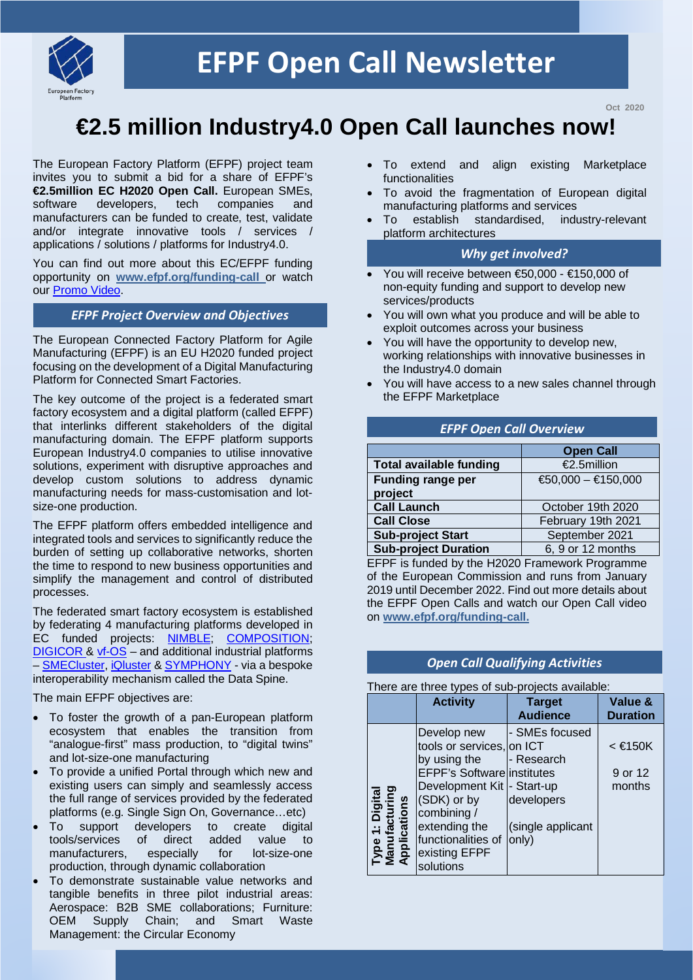

**Oct 2020**

# **€2.5 million Industry4.0 Open Call launches now!**

The European Factory Platform (EFPF) project team invites you to submit a bid for a share of EFPF's **€2.5million EC H2020 Open Call.** European SMEs, software developers, tech companies and software developers, tech companies and manufacturers can be funded to create, test, validate and/or integrate innovative tools / services / applications / solutions / platforms for Industry4.0.

You can find out more about this EC/EFPF funding opportunity on **[www.efpf.org/](http://www.efpf.org/)funding-call** or watch our [Promo Video.](https://www.youtube.com/watch?v=_BuqQmXM40M)

# *EFPF Project Overview and Objectives*

The European Connected Factory Platform for Agile Manufacturing (EFPF) is an EU H2020 funded project focusing on the development of a Digital Manufacturing Platform for Connected Smart Factories.

The key outcome of the project is a federated smart factory ecosystem and a digital platform (called EFPF) that interlinks different stakeholders of the digital manufacturing domain. The EFPF platform supports European Industry4.0 companies to utilise innovative solutions, experiment with disruptive approaches and develop custom solutions to address dynamic manufacturing needs for mass-customisation and lotsize-one production.

The EFPF platform offers embedded intelligence and integrated tools and services to significantly reduce the burden of setting up collaborative networks, shorten the time to respond to new business opportunities and simplify the management and control of distributed processes.

The federated smart factory ecosystem is established by federating 4 manufacturing platforms developed in EC funded projects: NIMBLE, [COMPOSITION;](https://www.composition-project.eu/) [DIGICOR &](https://www.digicor-project.eu/) [vf-OS](https://www.vf-os.eu/) - and additional industrial platforms – [SMECluster,](https://www.smecluster.com/) [iQluster](https://iqluster.com/) [& SYMPHONY](http://www.nextworks.it/en/research/symphony-building-blocks/) - via a bespoke interoperability mechanism called the Data Spine.

The main EFPF objectives are:

- To foster the growth of a pan-European platform ecosystem that enables the transition from "analogue-first" mass production, to "digital twins" and lot-size-one manufacturing
- To provide a unified Portal through which new and existing users can simply and seamlessly access the full range of services provided by the federated platforms (e.g. Single Sign On, Governance…etc)
- To support developers to create digital tools/services of direct added value to manufacturers, especially for lot-size-one production, through dynamic collaboration
- To demonstrate sustainable value networks and tangible benefits in three pilot industrial areas: Aerospace: B2B SME collaborations; Furniture: OEM Supply Chain; and Smart Waste Management: the Circular Economy
- To extend and align existing Marketplace functionalities
- To avoid the fragmentation of European digital manufacturing platforms and services
- To establish standardised, industry-relevant platform architectures

#### *Why get involved?*

- You will receive between €50,000 €150,000 of non-equity funding and support to develop new services/products
- You will own what you produce and will be able to exploit outcomes across your business
- You will have the opportunity to develop new, working relationships with innovative businesses in the Industry4.0 domain
- You will have access to a new sales channel through the EFPF Marketplace

#### *EFPF Open Call Overview*

|                                | <b>Open Call</b>     |
|--------------------------------|----------------------|
| <b>Total available funding</b> | €2.5million          |
| <b>Funding range per</b>       | $€50,000 - €150,000$ |
| project                        |                      |
| <b>Call Launch</b>             | October 19th 2020    |
| <b>Call Close</b>              | February 19th 2021   |
| <b>Sub-project Start</b>       | September 2021       |
| <b>Sub-project Duration</b>    | 6, 9 or 12 months    |

EFPF is funded by the H2020 Framework Programme of the European Commission and runs from January 2019 until December 2022. Find out more details about the EFPF Open Calls and watch our Open Call video on **[www.efpf.org/funding-call.](http://www.efpf.org/funding-call)**

#### *Open Call Qualifying Activities*

There are three types of sub-projects available:

|                                                  | <b>Activity</b>                                                                                                                                                                                                                 | <b>Target</b><br><b>Audience</b>                                         | Value &<br><b>Duration</b>        |
|--------------------------------------------------|---------------------------------------------------------------------------------------------------------------------------------------------------------------------------------------------------------------------------------|--------------------------------------------------------------------------|-----------------------------------|
| Type 1: Digital<br>Manufacturing<br>Applications | Develop new<br>tools or services, on ICT<br>by using the<br><b>EFPF's Software institutes</b><br>Development Kit  - Start-up<br>(SDK) or by<br>combining /<br>extending the<br>functionalities of<br>existing EFPF<br>solutions | - SMEs focused<br>- Research<br>developers<br>(single applicant<br>only) | $\leq$ €150K<br>9 or 12<br>months |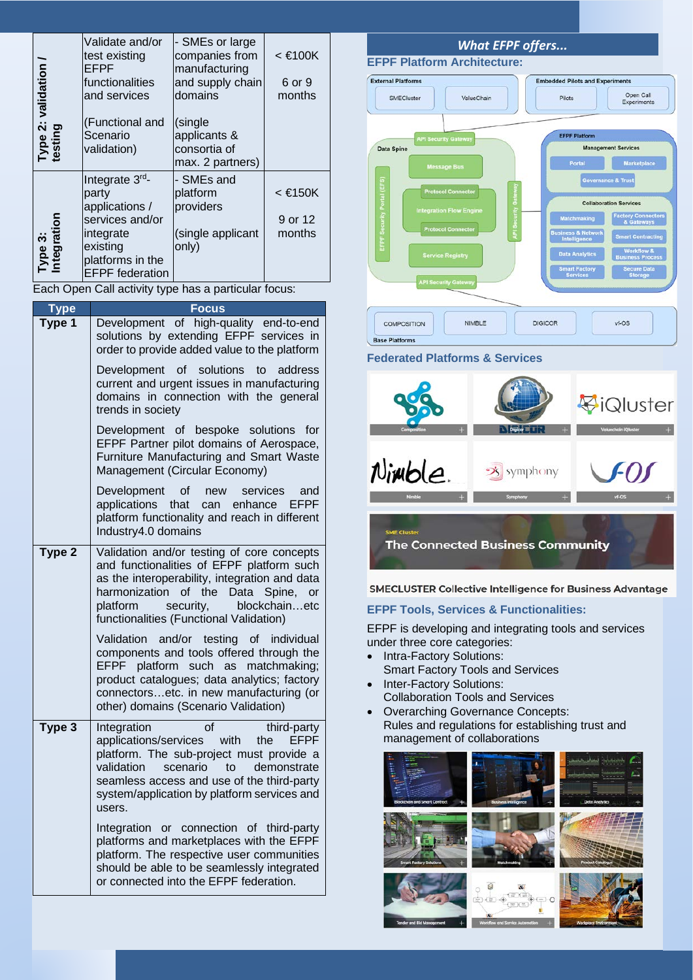| Type 2: validation <sub>/</sub><br>testing | Validate and/or<br>test existing<br>EFPF<br>functionalities<br>and services<br>(Functional and<br>Scenario<br>validation)           | - SMEs or large<br>companies from<br>manufacturing<br>and supply chain<br>domains<br>(single<br>applicants &<br>consortia of<br>max. 2 partners) | $<$ €100K<br>6 or 9<br>months |
|--------------------------------------------|-------------------------------------------------------------------------------------------------------------------------------------|--------------------------------------------------------------------------------------------------------------------------------------------------|-------------------------------|
| Type 3:<br>Integration                     | Integrate 3rd-<br>party<br>applications /<br>services and/or<br>integrate<br>existing<br>platforms in the<br><b>EFPF</b> federation | - SMEs and<br>platform<br>providers<br>(single applicant<br>only)                                                                                | < €150K<br>9 or 12<br>months  |

Each Open Call activity type has a particular focus:

| Type   | <b>Focus</b>                                                                                                                                                                                                                                                                              |
|--------|-------------------------------------------------------------------------------------------------------------------------------------------------------------------------------------------------------------------------------------------------------------------------------------------|
| Type 1 | Development of high-quality end-to-end<br>solutions by extending EFPF services in<br>order to provide added value to the platform                                                                                                                                                         |
|        | Development of solutions to<br>address<br>current and urgent issues in manufacturing<br>domains in connection with the general<br>trends in society                                                                                                                                       |
|        | Development of bespoke solutions<br>for<br>EFPF Partner pilot domains of Aerospace,<br>Furniture Manufacturing and Smart Waste<br>Management (Circular Economy)                                                                                                                           |
|        | Development<br>of<br>services<br>and<br>new<br>EFPF<br>applications that<br>enhance<br>can<br>platform functionality and reach in different<br>Industry4.0 domains                                                                                                                        |
| Type 2 | Validation and/or testing of core concepts<br>and functionalities of EFPF platform such<br>as the interoperability, integration and data<br>harmonization of<br>the<br>Data<br>Spine,<br>or<br>blockchainetc<br>platform<br>security,<br>functionalities (Functional Validation)          |
|        | and/or testing of<br>individual<br>Validation<br>components and tools offered through the<br>platform<br>such as<br>EFPF<br>matchmaking;<br>product catalogues; data analytics; factory<br>connectorsetc. in new manufacturing (or<br>other) domains (Scenario Validation)                |
| Type 3 | Integration<br>οf<br>third-party<br><b>EFPF</b><br>applications/services<br>with<br>the<br>platform. The sub-project must provide a<br>validation<br>scenario<br>to<br>demonstrate<br>seamless access and use of the third-party<br>system/application by platform services and<br>users. |
|        | Integration or connection of third-party<br>platforms and marketplaces with the EFPF<br>platform. The respective user communities<br>should be able to be seamlessly integrated<br>or connected into the EFPF federation.                                                                 |



**The Connected Business Community** 

**SMECLUSTER Collective Intelligence for Business Advantage** 

#### **EFPF Tools, Services & Functionalities:**

EFPF is developing and integrating tools and services under three core categories:

- Intra-Factory Solutions: Smart Factory Tools and Services
- Inter-Factory Solutions: Collaboration Tools and Services
- Overarching Governance Concepts: Rules and regulations for establishing trust and management of collaborations